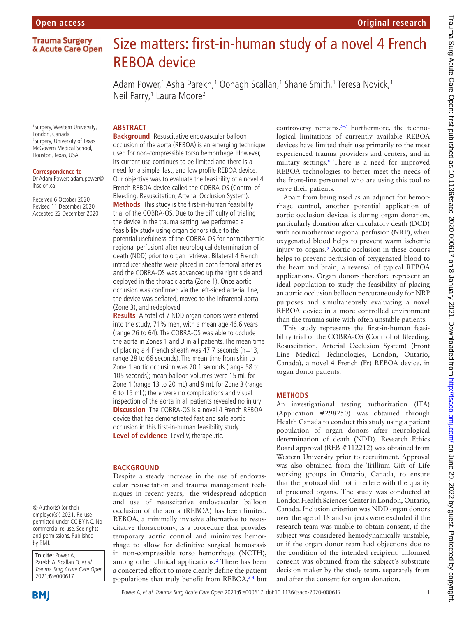## **Trauma Surgery** & Acute Care Open

# Size matters: first-in-human study of a novel 4 French REBOA device

Adam Power,1 Asha Parekh,1 Oonagh Scallan,1 Shane Smith,1 Teresa Novick,1 Neil Parry,<sup>1</sup> Laura Moore<sup>2</sup>

1 Surgery, Western University, London, Canada 2 Surgery, University of Texas McGovern Medical School, Houston, Texas, USA

**ABSTRACT**

### **Correspondence to**

Dr Adam Power; adam.power@ lhsc.on.ca

Received 6 October 2020 Revised 11 December 2020 Accepted 22 December 2020 **Background** Resuscitative endovascular balloon occlusion of the aorta (REBOA) is an emerging technique used for non-compressible torso hemorrhage. However, its current use continues to be limited and there is a need for a simple, fast, and low profile REBOA device. Our objective was to evaluate the feasibility of a novel 4 French REBOA device called the COBRA-OS (Control of Bleeding, Resuscitation, Arterial Occlusion System). **Methods** This study is the first-in-human feasibility trial of the COBRA-OS. Due to the difficulty of trialing the device in the trauma setting, we performed a feasibility study using organ donors (due to the potential usefulness of the COBRA-OS for normothermic regional perfusion) after neurological determination of death (NDD) prior to organ retrieval. Bilateral 4 French introducer sheaths were placed in both femoral arteries and the COBRA-OS was advanced up the right side and deployed in the thoracic aorta (Zone 1). Once aortic occlusion was confirmed via the left-sided arterial line, the device was deflated, moved to the infrarenal aorta (Zone 3), and redeployed.

**Results** A total of 7 NDD organ donors were entered into the study, 71% men, with a mean age 46.6 years (range 26 to 64). The COBRA-OS was able to occlude the aorta in Zones 1 and 3 in all patients. The mean time of placing a 4 French sheath was 47.7 seconds (n=13, range 28 to 66 seconds). The mean time from skin to Zone 1 aortic occlusion was 70.1 seconds (range 58 to 105 seconds); mean balloon volumes were 15 mL for Zone 1 (range 13 to 20 mL) and 9 mL for Zone 3 (range 6 to 15 mL); there were no complications and visual inspection of the aorta in all patients revealed no injury. **Discussion** The COBRA-OS is a novel 4 French REBOA device that has demonstrated fast and safe aortic occlusion in this first-in-human feasibility study. **Level of evidence** Level V, therapeutic.

### **BACKGROUND**

Despite a steady increase in the use of endovascular resuscitation and trauma management techniques in recent years, $<sup>1</sup>$  the widespread adoption</sup> and use of resuscitative endovascular balloon occlusion of the aorta (REBOA) has been limited. REBOA, a minimally invasive alternative to resuscitative thoracotomy, is a procedure that provides temporary aortic control and minimizes hemorrhage to allow for definitive surgical hemostasis in non-compressible torso hemorrhage (NCTH), among other clinical applications.<sup>[2](#page-3-0)</sup> There has been a concerted effort to more clearly define the patient populations that truly benefit from REBOA,<sup>34</sup> but

controversy remains.<sup>5-7</sup> Furthermore, the technological limitations of currently available REBOA devices have limited their use primarily to the most experienced trauma providers and centers, and in military settings.<sup>[8](#page-4-0)</sup> There is a need for improved REBOA technologies to better meet the needs of the front-line personnel who are using this tool to serve their patients.

Apart from being used as an adjunct for hemorrhage control, another potential application of aortic occlusion devices is during organ donation, particularly donation after circulatory death (DCD) with normothermic regional perfusion (NRP), when oxygenated blood helps to prevent warm ischemic injury to organs.<sup>[9](#page-4-1)</sup> Aortic occlusion in these donors helps to prevent perfusion of oxygenated blood to the heart and brain, a reversal of typical REBOA applications. Organ donors therefore represent an ideal population to study the feasibility of placing an aortic occlusion balloon percutaneously for NRP purposes and simultaneously evaluating a novel REBOA device in a more controlled environment than the trauma suite with often unstable patients.

This study represents the first-in-human feasibility trial of the COBRA-OS (Control of Bleeding, Resuscitation, Arterial Occlusion System) (Front Line Medical Technologies, London, Ontario, Canada), a novel 4 French (Fr) REBOA device, in organ donor patients.

### **METHODS**

An investigational testing authorization (ITA) (Application #298250) was obtained through Health Canada to conduct this study using a patient population of organ donors after neurological determination of death (NDD). Research Ethics Board approval (REB #112212) was obtained from Western University prior to recruitment. Approval was also obtained from the Trillium Gift of Life working groups in Ontario, Canada, to ensure that the protocol did not interfere with the quality of procured organs. The study was conducted at London Health Sciences Center in London, Ontario, Canada. Inclusion criterion was NDD organ donors over the age of 18 and subjects were excluded if the research team was unable to obtain consent, if the subject was considered hemodynamically unstable, or if the organ donor team had objections due to the condition of the intended recipient. Informed consent was obtained from the subject's substitute decision maker by the study team, separately from and after the consent for organ donation.

© Author(s) (or their employer(s)) 2021. Re-use permitted under CC BY-NC. No commercial re-use. See rights and permissions. Published by BMJ.

**To cite:** Power A, Parekh A, Scallan O, et al. Trauma Surg Acute Care Open 2021;**6**:e000617.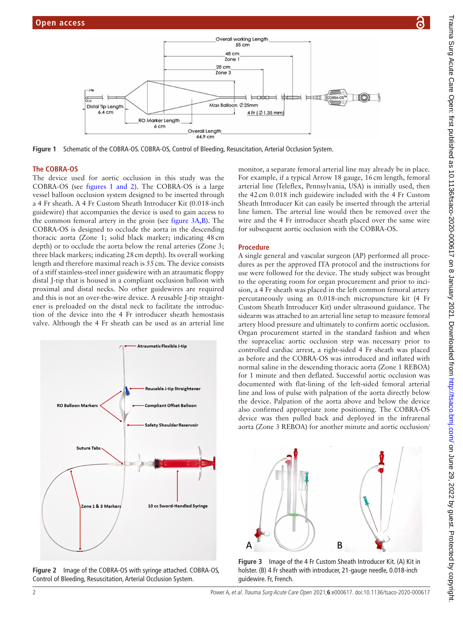



<span id="page-1-0"></span>**Figure 1** Schematic of the COBRA-OS. COBRA-OS, Control of Bleeding, Resuscitation, Arterial Occlusion System.

#### **The COBRA-OS**

The device used for aortic occlusion in this study was the COBRA-OS (see figures [1 and 2\)](#page-1-0). The COBRA-OS is a large vessel balloon occlusion system designed to be inserted through a 4 Fr sheath. A 4 Fr Custom Sheath Introducer Kit (0.018-inch guidewire) that accompanies the device is used to gain access to the common femoral artery in the groin (see [figure](#page-1-1) 3A,B). The COBRA-OS is designed to occlude the aorta in the descending thoracic aorta (Zone 1; solid black marker; indicating 48cm depth) or to occlude the aorta below the renal arteries (Zone 3; three black markers; indicating 28cm depth). Its overall working length and therefore maximal reach is 55cm. The device consists of a stiff stainless-steel inner guidewire with an atraumatic floppy distal J-tip that is housed in a compliant occlusion balloon with proximal and distal necks. No other guidewires are required and this is not an over-the-wire device. A reusable J-tip straightener is preloaded on the distal neck to facilitate the introduction of the device into the 4 Fr introducer sheath hemostasis valve. Although the 4 Fr sheath can be used as an arterial line



**Figure 2** Image of the COBRA-OS with syringe attached. COBRA-OS, Control of Bleeding, Resuscitation, Arterial Occlusion System.

monitor, a separate femoral arterial line may already be in place. For example, if a typical Arrow 18 gauge, 16cm length, femoral arterial line (Teleflex, Pennsylvania, USA) is initially used, then the 42cm 0.018 inch guidewire included with the 4 Fr Custom Sheath Introducer Kit can easily be inserted through the arterial line lumen. The arterial line would then be removed over the wire and the 4 Fr introducer sheath placed over the same wire for subsequent aortic occlusion with the COBRA-OS.

#### **Procedure**

A single general and vascular surgeon (AP) performed all procedures as per the approved ITA protocol and the instructions for use were followed for the device. The study subject was brought to the operating room for organ procurement and prior to incision, a 4 Fr sheath was placed in the left common femoral artery percutaneously using an 0.018-inch micropuncture kit (4 Fr Custom Sheath Introducer Kit) under ultrasound guidance. The sidearm was attached to an arterial line setup to measure femoral artery blood pressure and ultimately to confirm aortic occlusion. Organ procurement started in the standard fashion and when the supraceliac aortic occlusion step was necessary prior to controlled cardiac arrest, a right-sided 4 Fr sheath was placed as before and the COBRA-OS was introduced and inflated with normal saline in the descending thoracic aorta (Zone 1 REBOA) for 1 minute and then deflated. Successful aortic occlusion was documented with flat-lining of the left-sided femoral arterial line and loss of pulse with palpation of the aorta directly below the device. Palpation of the aorta above and below the device also confirmed appropriate zone positioning. The COBRA-OS device was then pulled back and deployed in the infrarenal aorta (Zone 3 REBOA) for another minute and aortic occlusion/



<span id="page-1-1"></span>**Figure 3** Image of the 4 Fr Custom Sheath Introducer Kit. (A) Kit in holster. (B) 4 Fr sheath with introducer, 21-gauge needle, 0.018-inch guidewire. Fr, French.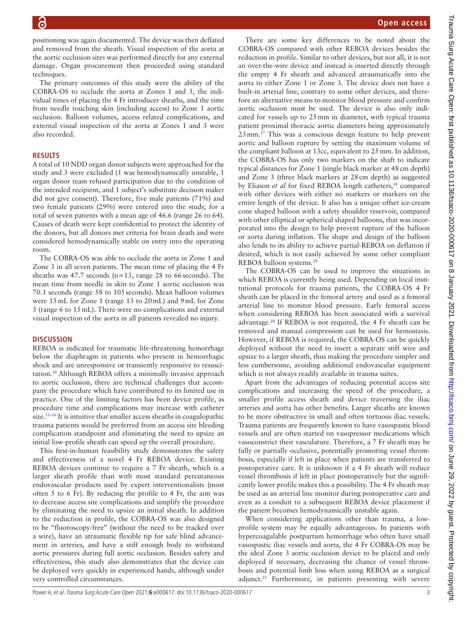positioning was again documented. The device was then deflated and removed from the sheath. Visual inspection of the aorta at the aortic occlusion sites was performed directly for any external damage. Organ procurement then proceeded using standard techniques.

The primary outcomes of this study were the ability of the COBRA-OS to occlude the aorta at Zones 1 and 3, the individual times of placing the 4 Fr introducer sheaths, and the time from needle touching skin (including access) to Zone 1 aortic occlusion. Balloon volumes, access related complications, and external visual inspection of the aorta at Zones 1 and 3 were also recorded.

# **RESULTS**

A total of 10 NDD organ donor subjects were approached for the study and 3 were excluded (1 was hemodynamically unstable, 1 organ donor team refused participation due to the condition of the intended recipient, and 1 subject's substitute decision maker did not give consent). Therefore, five male patients (71%) and two female patients (29%) were entered into the study, for a total of seven patients with a mean age of 46.6 (range 26 to 64). Causes of death were kept confidential to protect the identity of the donors, but all donors met criteria for brain death and were considered hemodynamically stable on entry into the operating room.

The COBRA-OS was able to occlude the aorta in Zone 1 and Zone 3 in all seven patients. The mean time of placing the 4 Fr sheaths was 47.7 seconds ( $n=13$ , range 28 to 66 seconds). The mean time from needle in skin to Zone 1 aortic occlusion was 70.1 seconds (range 58 to 105seconds). Mean balloon volumes were 15mL for Zone 1 (range 13 to 20mL) and 9mL for Zone 3 (range 6 to 15mL). There were no complications and external visual inspection of the aorta in all patients revealed no injury.

# **DISCUSSION**

REBOA is indicated for traumatic life-threatening hemorrhage below the diaphragm in patients who present in hemorrhagic shock and are unresponsive or transiently responsive to resuscitation[.10](#page-4-2) Although REBOA offers a minimally invasive approach to aortic occlusion, there are technical challenges that accompany the procedure which have contributed to its limited use in practice. One of the limiting factors has been device profile, as procedure time and complications may increase with catheter size.<sup>11-16</sup> It is intuitive that smaller access sheaths in coagulopathic trauma patients would be preferred from an access site bleeding complication standpoint and eliminating the need to upsize an initial low-profile sheath can speed up the overall procedure.

This first-in-human feasibility study demonstrates the safety and effectiveness of a novel 4 Fr REBOA device. Existing REBOA devices continue to require a 7 Fr sheath, which is a larger sheath profile than with most standard percutaneous endovascular products used by expert interventionalists (most often 5 to 6 Fr). By reducing the profile to 4 Fr, the aim was to decrease access site complications and simplify the procedure by eliminating the need to upsize an initial sheath. In addition to the reduction in profile, the COBRA-OS was also designed to be "fluoroscopy-free" (without the need to be tracked over a wire), have an atraumatic flexible tip for safe blind advancement in arteries, and have a stiff enough body to withstand aortic pressures during full aortic occlusion. Besides safety and effectiveness, this study also demonstrates that the device can be deployed very quickly in experienced hands, although under very controlled circumstances.

There are some key differences to be noted about the COBRA-OS compared with other REBOA devices besides the reduction in profile. Similar to other devices, but not all, it is not an over-the-wire device and instead is inserted directly through the empty 4 Fr sheath and advanced atraumatically into the aorta to either Zone 1 or Zone 3. The device does not have a built-in arterial line, contrary to some other devices, and therefore an alternative means to monitor blood pressure and confirm aortic occlusion must be used. The device is also only indicated for vessels up to 25mm in diameter, with typical trauma patient proximal thoracic aortic diameters being approximately 23mm[.17](#page-4-4) This was a conscious design feature to help prevent aortic and balloon rupture by setting the maximum volume of the compliant balloon at 13cc, equivalent to 25mm. In addition, the COBRA-OS has only two markers on the shaft to indicate typical distances for Zone 1 (single black marker at 48cm depth) and Zone 3 (three black markers at 28cm depth) as suggested by Eliason *et al* for fixed REBOA length catheters,<sup>18</sup> compared with other devices with either no markers or markers on the entire length of the device. It also has a unique offset ice-cream cone shaped balloon with a safety shoulder reservoir, compared with other elliptical or spherical shaped balloons, that was incorporated into the design to help prevent rupture of the balloon or aorta during inflation. The shape and design of the balloon also lends to its ability to achieve partial-REBOA on deflation if desired, which is not easily achieved by some other compliant REBOA balloon systems.[19](#page-4-6)

The COBRA-OS can be used to improve the situations in which REBOA is currently being used. Depending on local institutional protocols for trauma patients, the COBRA-OS 4 Fr sheath can be placed in the femoral artery and used as a femoral arterial line to monitor blood pressure. Early femoral access when considering REBOA has been associated with a survival advantage.[20](#page-4-7) If REBOA is not required, the 4 Fr sheath can be removed and manual compression can be used for hemostasis. However, if REBOA is required, the COBRA-OS can be quickly deployed without the need to insert a separate stiff wire and upsize to a larger sheath, thus making the procedure simpler and less cumbersome, avoiding additional endovascular equipment which is not always readily available in trauma suites.

Apart from the advantages of reducing potential access site complications and increasing the speed of the procedure, a smaller profile access sheath and device traversing the iliac arteries and aorta has other benefits. Larger sheaths are known to be more obstructive in small and often tortuous iliac vessels. Trauma patients are frequently known to have vasospastic blood vessels and are often started on vasopressor medications which vasoconstrict their vasculature. Therefore, a 7 Fr sheath may be fully or partially occlusive, potentially promoting vessel thrombosis, especially if left in place when patients are transferred to postoperative care. It is unknown if a 4 Fr sheath will reduce vessel thrombosis if left in place postoperatively but the significantly lower profile makes this a possibility. The 4 Fr sheath may be used as an arterial line monitor during postoperative care and even as a conduit to a subsequent REBOA device placement if the patient becomes hemodynamically unstable again.

When considering applications other than trauma, a lowprofile system may be equally advantageous. In patients with hypercoagulable postpartum hemorrhage who often have small vasospastic iliac vessels and aorta, the 4 Fr COBRA-OS may be the ideal Zone 3 aortic occlusion device to be placed and only deployed if necessary, decreasing the chance of vessel thrombosis and potential limb loss when using REBOA as a surgical adjunct. $21$  Furthermore, in patients presenting with severe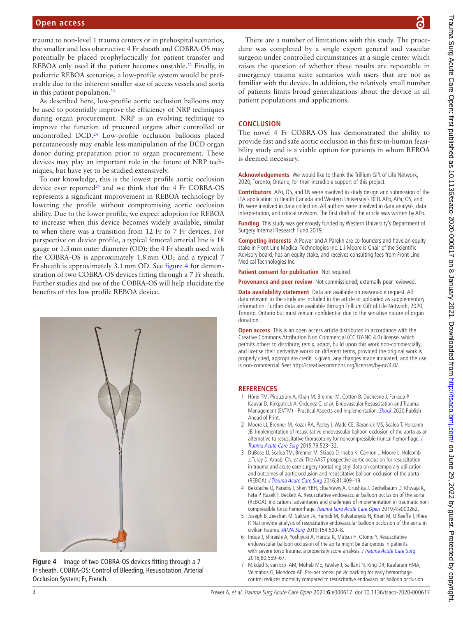trauma to non-level 1 trauma centers or in prehospital scenarios, the smaller and less obstructive 4 Fr sheath and COBRA-OS may potentially be placed prophylactically for patient transfer and REBOA only used if the patient becomes unstable.<sup>22</sup> Finally, in pediatric REBOA scenarios, a low-profile system would be preferable due to the inherent smaller size of access vessels and aorta in this patient population.<sup>23</sup>

As described here, low-profile aortic occlusion balloons may be used to potentially improve the efficiency of NRP techniques during organ procurement. NRP is an evolving technique to improve the function of procured organs after controlled or uncontrolled DCD[.24](#page-4-11) Low-profile occlusion balloons placed percutaneously may enable less manipulation of the DCD organ donor during preparation prior to organ procurement. These devices may play an important role in the future of NRP techniques, but have yet to be studied extensively.

To our knowledge, this is the lowest profile aortic occlusion device ever reported<sup>25</sup> and we think that the 4 Fr COBRA-OS represents a significant improvement in REBOA technology by lowering the profile without compromising aortic occlusion ability. Due to the lower profile, we expect adoption for REBOA to increase when this device becomes widely available, similar to when there was a transition from 12 Fr to 7 Fr devices. For perspective on device profile, a typical femoral arterial line is 18 gauge or 1.3mm outer diameter (OD); the 4 Fr sheath used with the COBRA-OS is approximately 1.8mm OD; and a typical 7 Fr sheath is approximately 3.1mm OD. See [figure](#page-3-3) 4 for demonstration of two COBRA-OS devices fitting through a 7 Fr sheath. Further studies and use of the COBRA-OS will help elucidate the benefits of this low profile REBOA device.



<span id="page-3-3"></span>**Figure 4** Image of two COBRA-OS devices fitting through a 7 Fr sheath. COBRA-OS: Control of Bleeding, Resuscitation, Arterial Occlusion System; Fr, French.

There are a number of limitations with this study. The procedure was completed by a single expert general and vascular surgeon under controlled circumstances at a single center which raises the question of whether these results are repeatable in emergency trauma suite scenarios with users that are not as familiar with the device. In addition, the relatively small number of patients limits broad generalizations about the device in all patient populations and applications.

### **CONCLUSION**

The novel 4 Fr COBRA-OS has demonstrated the ability to provide fast and safe aortic occlusion in this first-in-human feasibility study and is a viable option for patients in whom REBOA is deemed necessary.

**Acknowledgements** We would like to thank the Trillium Gift of Life Network, 2020, Toronto, Ontario, for their incredible support of this project.

**Contributors** APo, OS, and TN were involved in study design and submission of the ITA application to Health Canada and Western University's REB. APo, APa, OS, and TN were involved in data collection. All authors were involved in data analysis, data interpretation, and critical revisions. The first draft of the article was written by APo.

**Funding** This study was generously funded by Western University's Department of Surgery Internal Research Fund 2019.

**Competing interests** A Power and A Parekh are co-founders and have an equity stake in Front Line Medical Technologies Inc. L J Moore is Chair of the Scientific Advisory board, has an equity stake, and receives consulting fees from Front Line Medical Technologies Inc.

**Patient consent for publication** Not required.

**Provenance and peer review** Not commissioned; externally peer reviewed.

**Data availability statement** Data are available on reasonable request. All data relevant to the study are included in the article or uploaded as supplementary information. Further data are available through Trillium Gift of Life Network, 2020, Toronto, Ontario but must remain confidential due to the sensitive nature of organ donation.

**Open access** This is an open access article distributed in accordance with the Creative Commons Attribution Non Commercial (CC BY-NC 4.0) license, which permits others to distribute, remix, adapt, build upon this work non-commercially, and license their derivative works on different terms, provided the original work is properly cited, appropriate credit is given, any changes made indicated, and the use is non-commercial. See: [http://creativecommons.org/licenses/by-nc/4.0/.](http://creativecommons.org/licenses/by-nc/4.0/)

#### **REFERENCES**

- 1 Hörer TM, Pirouzram A, Khan M, Brenner M, Cotton B, Duchesne J, Ferrada P, Kauvar D, Kirkpatrick A, Ordonez C, et al. Endovascular Resuscitation and Trauma Management (EVTM) - Practical Aspects and Implementation. [Shock](http://dx.doi.org/10.1097/SHK.0000000000001529) 2020;Publish Ahead of Print.
- <span id="page-3-0"></span>2 Moore LJ, Brenner M, Kozar RA, Pasley J, Wade CE, Baraniuk MS, Scalea T, Holcomb JB. Implementation of resuscitative endovascular balloon occlusion of the aorta as an alternative to resuscitative thoracotomy for noncompressible truncal hemorrhage. [J](http://dx.doi.org/10.1097/TA.0000000000000809)  [Trauma Acute Care Surg](http://dx.doi.org/10.1097/TA.0000000000000809) 2015;79:523–32.
- <span id="page-3-1"></span>3 DuBose JJ, Scalea TM, Brenner M, Skiada D, Inaba K, Cannon J, Moore L, Holcomb J, Turay D, Arbabi CN, et al. The AAST prospective aortic occlusion for resuscitation in trauma and acute care surgery (aorta) registry: data on contemporary utilization and outcomes of aortic occlusion and resuscitative balloon occlusion of the aorta (REBOA). [J Trauma Acute Care Surg](http://dx.doi.org/10.1097/TA.0000000000001079) 2016;81:409–19.
- 4 Bekdache O, Paradis T, Shen YBH, Elbahrawy A, Grushka J, Deckelbaum D, Khwaja K, Fata P, Razek T, Beckett A. Resuscitative endovascular balloon occlusion of the aorta (REBOA): indications: advantages and challenges of implementation in traumatic non-compressible torso hemorrhage. [Trauma Surg Acute Care Open](http://dx.doi.org/10.1136/tsaco-2018-000262) 2019;4:e000262.
- <span id="page-3-2"></span>5 Joseph B, Zeeshan M, Sakran JV, Hamidi M, Kulvatunyou N, Khan M, O'Keeffe T, Rhee P. Nationwide analysis of resuscitative endovascular balloon occlusion of the aorta in civilian trauma. [JAMA Surg](http://dx.doi.org/10.1001/jamasurg.2019.0096) 2019;154:500-8.
- 6 Inoue J, Shiraishi A, Yoshiyuki A, Haruta K, Matsui H, Otomo Y. Resuscitative endovascular balloon occlusion of the aorta might be dangerous in patients with severe torso trauma: a propensity score analysis. [J Trauma Acute Care Surg](http://dx.doi.org/10.1097/TA.0000000000000968) 2016;80:559–67.
- 7 Mikdad S, van Erp IAM, Moheb ME, Fawley J, Saillant N, King DR, Kaafarani HMA, Velmahos G, Mendoza AE. Pre-peritoneal pelvic packing for early hemorrhage control reduces mortality compared to resuscitative endovascular balloon occlusion